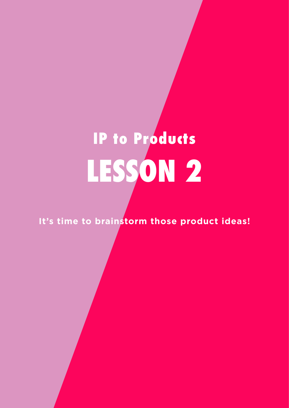# **LESSON 2 IP to Products**

**It's time to brainstorm those product ideas!**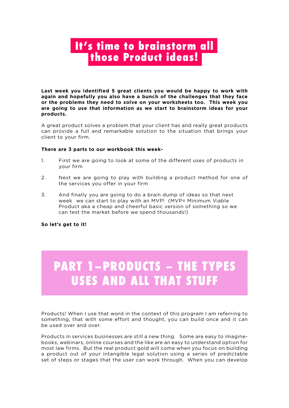#### **It's time to brainstorm all those Product ideas!**

**Last week you identified 5 great clients you would be happy to work with again and hopefully you also have a bunch of the challenges that they face or the problems they need to solve on your worksheets too. This week you are going to use that information as we start to brainstorm ideas for your products.**

A great product solves a problem that your client has and really great products can provide a full and remarkable solution to the situation that brings your client to your firm.

#### **There are 3 parts to our workbook this week-**

- 1. First we are going to look at some of the different uses of products in your firm
- 2. Next we are going to play with building a product method for one of the services you offer in your firm
- 3. And finally you are going to do a brain dump of ideas so that next week we can start to play with an MVP! (MVP= Minimum Viable Product aka a cheap and cheerful basic version of something so we can test the market before we spend thousands!)

#### **So let's get to it!**

### **PART 1–PRODUCTS – THE TYPES USES AND ALL THAT STUFF**

Products! When I use that word in the context of this program I am referring to something, that with some effort and thought, you can build once and it can be used over and over.

Products in services businesses are still a new thing. Some are easy to imaginebooks, webinars, online courses and the like are an easy to understand option for most law firms. But the real product gold will come when you focus on building a product out of your intangible legal solution using a series of predictable set of steps or stages that the user can work through. When you can develop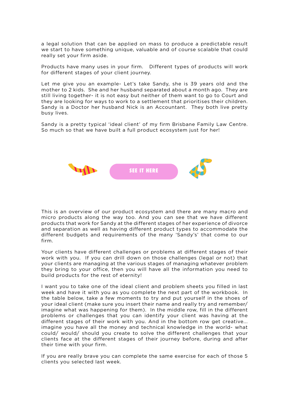a legal solution that can be applied on mass to produce a predictable result we start to have something unique, valuable and of course scalable that could really set your firm aside.

Products have many uses in your firm. Different types of products will work for different stages of your client journey.

Let me give you an example- Let's take Sandy, she is 39 years old and the mother to 2 kids. She and her husband separated about a month ago. They are still living together- it is not easy but neither of them want to go to Court and they are looking for ways to work to a settlement that prioritises their children. Sandy is a Doctor her husband Nick is an Accountant. They both live pretty busy lives.

Sandy is a pretty typical 'ideal client' of my firm Brisbane Family Law Centre. So much so that we have built a full product ecosystem just for her!



This is an overview of our product ecosystem and there are many macro and micro products along the way too. And you can see that we have different products that work for Sandy at the different stages of her experience of divorce and separation as well as having different product types to accommodate the different budgets and requirements of the many 'Sandy's' that come to our firm.

Your clients have different challenges or problems at different stages of their work with you. If you can drill down on those challenges (legal or not) that your clients are managing at the various stages of managing whatever problem they bring to your office, then you will have all the information you need to build products for the rest of eternity!

I want you to take one of the ideal client and problem sheets you filled in last week and have it with you as you complete the next part of the workbook. In the table below, take a few moments to try and put yourself in the shoes of your ideal client (make sure you insert their name and really try and remember/ imagine what was happening for them). In the middle row, fill in the different problems or challenges that you can identify your client was having at the different stages of their work with you. And in the bottom row get creative... imagine you have all the money and technical knowledge in the world- what could/ would/ should you create to solve the different challenges that your clients face at the different stages of their journey before, during and after their time with your firm.

If you are really brave you can complete the same exercise for each of those 5 clients you selected last week.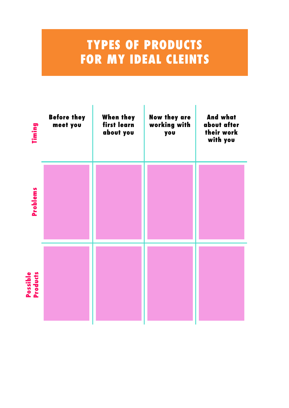### **TYPES OF PRODUCTS FOR MY IDEAL CLEINTS**

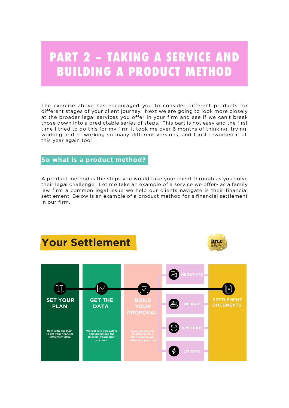#### **PART 2 – TAKING A SERVICE AND BUILDING A PRODUCT METHOD**

The exercise above has encouraged you to consider different products for different stages of your client journey. Next we are going to look more closely at the broader legal services you offer in your firm and see if we can't break those down into a predictable series of steps. This part is not easy and the first time I tried to do this for my firm it took me over 6 months of thinking, trying, working and re-working so many different versions, and I just reworked it all this year again too!

#### **So what is a product method?**

A product method is the steps you would take your client through as you solve their legal challenge. Let me take an example of a service we offer- as a family law firm a common legal issue we help our clients navigate is their financial settlement. Below is an example of a product method for a financial settlement in our firm.





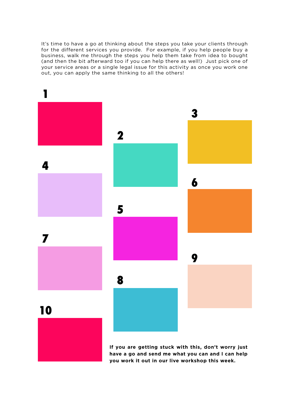It's time to have a go at thinking about the steps you take your clients through for the different services you provide. For example, if you help people buy a business, walk me through the steps you help them take from idea to bought (and then the bit afterward too if you can help there as well!) Just pick one of your service areas or a single legal issue for this activity as once you work one out, you can apply the same thinking to all the others!



**If you are getting stuck with this, don't worry just have a go and send me what you can and I can help you work it out in our live workshop this week.**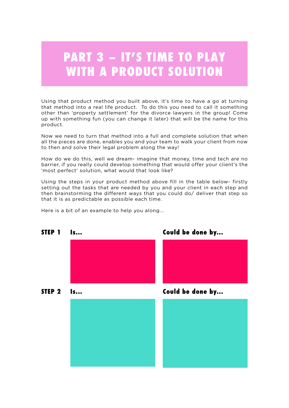### **PART 3 – IT'S TIME TO PLAY WITH A PRODUCT SOLUTION**

Using that product method you built above, it's time to have a go at turning that method into a real life product. To do this you need to call it something other than 'property settlement' for the divorce lawyers in the group! Come up with something fun (you can change it later) that will be the name for this product.

Now we need to turn that method into a full and complete solution that when all the pieces are done, enables you and your team to walk your client from now to then and solve their legal problem along the way!

How do we do this, well we dream- imagine that money, time and tech are no barrier, if you really could develop something that would offer your client's the 'most perfect' solution, what would that look like?

Using the steps in your product method above fill in the table below- firstly setting out the tasks that are needed by you and your client in each step and then brainstorming the different ways that you could do/ deliver that step so that it is as predictable as possible each time.

Here is a bit of an example to help you along...

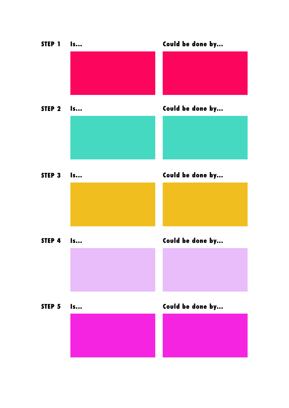| STEP 1            | $\mathsf{ls}$ | Could be done by |
|-------------------|---------------|------------------|
|                   |               |                  |
|                   |               |                  |
| STEP <sub>2</sub> | Is            | Could be done by |
|                   |               |                  |
| STEP 3            | ls            | Could be done by |
|                   |               |                  |
|                   |               |                  |
| STEP 4            | ls            | Could be done by |
|                   |               |                  |
|                   |               |                  |
| STEP 5            | Is            | Could be done by |
|                   |               |                  |
|                   |               |                  |
|                   |               |                  |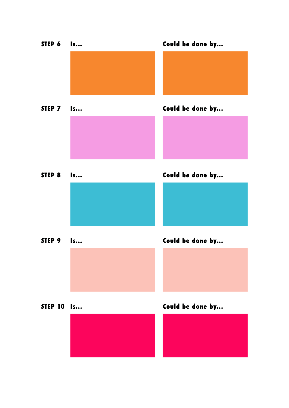**STEP 6 Is... STEP 7 Is... Could be done by... Could be done by... STEP 8 Is... STEP 10 Is... STEP 9 Is... Could be done by... Could be done by... Could be done by...**